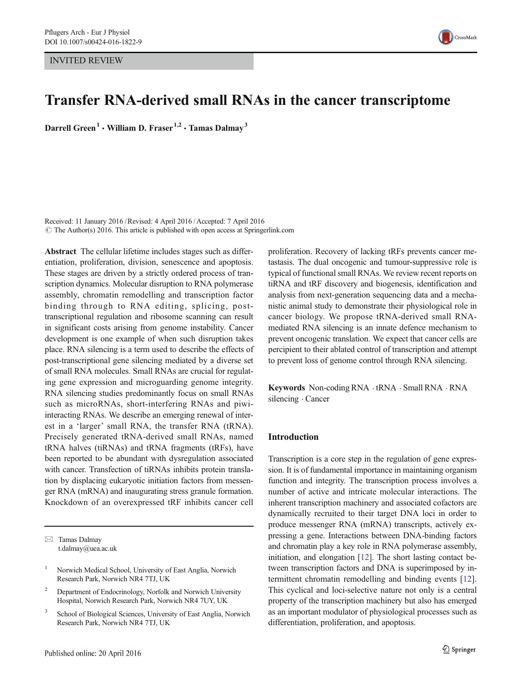INVITED REVIEW



# Transfer RNA-derived small RNAs in the cancer transcriptome

Darrell Green<sup>1</sup> • William D. Fraser<sup>1,2</sup> • Tamas Dalmay<sup>3</sup>

Received: 11 January 2016 /Revised: 4 April 2016 /Accepted: 7 April 2016  $\odot$  The Author(s) 2016. This article is published with open access at Springerlink.com

Abstract The cellular lifetime includes stages such as differentiation, proliferation, division, senescence and apoptosis. These stages are driven by a strictly ordered process of transcription dynamics. Molecular disruption to RNA polymerase assembly, chromatin remodelling and transcription factor binding through to RNA editing, splicing, posttranscriptional regulation and ribosome scanning can result in significant costs arising from genome instability. Cancer development is one example of when such disruption takes place. RNA silencing is a term used to describe the effects of post-transcriptional gene silencing mediated by a diverse set of small RNA molecules. Small RNAs are crucial for regulating gene expression and microguarding genome integrity. RNA silencing studies predominantly focus on small RNAs such as microRNAs, short-interfering RNAs and piwiinteracting RNAs. We describe an emerging renewal of interest in a 'larger' small RNA, the transfer RNA (tRNA). Precisely generated tRNA-derived small RNAs, named tRNA halves (tiRNAs) and tRNA fragments (tRFs), have been reported to be abundant with dysregulation associated with cancer. Transfection of tiRNAs inhibits protein translation by displacing eukaryotic initiation factors from messenger RNA (mRNA) and inaugurating stress granule formation. Knockdown of an overexpressed tRF inhibits cancer cell

 $\boxtimes$  Tamas Dalmay t.dalmay@uea.ac.uk

- <sup>2</sup> Department of Endocrinology, Norfolk and Norwich University Hospital, Norwich Research Park, Norwich NR4 7UY, UK
- <sup>3</sup> School of Biological Sciences, University of East Anglia, Norwich Research Park, Norwich NR4 7TJ, UK

proliferation. Recovery of lacking tRFs prevents cancer metastasis. The dual oncogenic and tumour-suppressive role is typical of functional small RNAs. We review recent reports on tiRNA and tRF discovery and biogenesis, identification and analysis from next-generation sequencing data and a mechanistic animal study to demonstrate their physiological role in cancer biology. We propose tRNA-derived small RNAmediated RNA silencing is an innate defence mechanism to prevent oncogenic translation. We expect that cancer cells are percipient to their ablated control of transcription and attempt to prevent loss of genome control through RNA silencing.

Keywords Non-coding RNA . tRNA . Small RNA . RNA silencing . Cancer

## Introduction

Transcription is a core step in the regulation of gene expression. It is of fundamental importance in maintaining organism function and integrity. The transcription process involves a number of active and intricate molecular interactions. The inherent transcription machinery and associated cofactors are dynamically recruited to their target DNA loci in order to produce messenger RNA (mRNA) transcripts, actively expressing a gene. Interactions between DNA-binding factors and chromatin play a key role in RNA polymerase assembly, initiation, and elongation [\[12](#page-6-0)]. The short lasting contact between transcription factors and DNA is superimposed by intermittent chromatin remodelling and binding events [\[12\]](#page-6-0). This cyclical and loci-selective nature not only is a central property of the transcription machinery but also has emerged as an important modulator of physiological processes such as differentiation, proliferation, and apoptosis.

<sup>&</sup>lt;sup>1</sup> Norwich Medical School, University of East Anglia, Norwich Research Park, Norwich NR4 7TJ, UK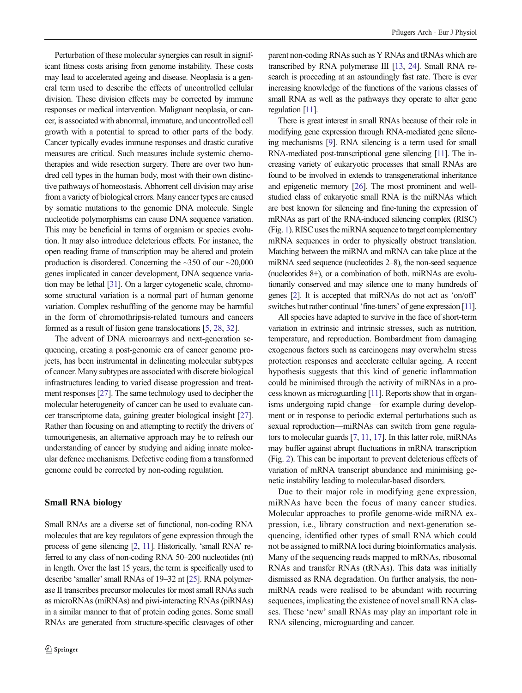Perturbation of these molecular synergies can result in significant fitness costs arising from genome instability. These costs may lead to accelerated ageing and disease. Neoplasia is a general term used to describe the effects of uncontrolled cellular division. These division effects may be corrected by immune responses or medical intervention. Malignant neoplasia, or cancer, is associated with abnormal, immature, and uncontrolled cell growth with a potential to spread to other parts of the body. Cancer typically evades immune responses and drastic curative measures are critical. Such measures include systemic chemotherapies and wide resection surgery. There are over two hundred cell types in the human body, most with their own distinctive pathways of homeostasis. Abhorrent cell division may arise from a variety of biological errors. Many cancer types are caused by somatic mutations to the genomic DNA molecule. Single nucleotide polymorphisms can cause DNA sequence variation. This may be beneficial in terms of organism or species evolution. It may also introduce deleterious effects. For instance, the open reading frame of transcription may be altered and protein production is disordered. Concerning the  $\sim$ 350 of our  $\sim$ 20,000 genes implicated in cancer development, DNA sequence variation may be lethal [\[31\]](#page-6-0). On a larger cytogenetic scale, chromosome structural variation is a normal part of human genome variation. Complex reshuffling of the genome may be harmful in the form of chromothripsis-related tumours and cancers formed as a result of fusion gene translocations [\[5,](#page-6-0) [28](#page-6-0), [32\]](#page-6-0).

The advent of DNA microarrays and next-generation sequencing, creating a post-genomic era of cancer genome projects, has been instrumental in delineating molecular subtypes of cancer. Many subtypes are associated with discrete biological infrastructures leading to varied disease progression and treatment responses [\[27\]](#page-6-0). The same technology used to decipher the molecular heterogeneity of cancer can be used to evaluate cancer transcriptome data, gaining greater biological insight [\[27\]](#page-6-0). Rather than focusing on and attempting to rectify the drivers of tumourigenesis, an alternative approach may be to refresh our understanding of cancer by studying and aiding innate molecular defence mechanisms. Defective coding from a transformed genome could be corrected by non-coding regulation.

# Small RNA biology

Small RNAs are a diverse set of functional, non-coding RNA molecules that are key regulators of gene expression through the process of gene silencing [[2](#page-6-0), [11\]](#page-6-0). Historically, 'small RNA' referred to any class of non-coding RNA 50–200 nucleotides (nt) in length. Over the last 15 years, the term is specifically used to describe 'smaller'small RNAs of 19–32 nt [[25](#page-6-0)]. RNA polymerase II transcribes precursor molecules for most small RNAs such as microRNAs (miRNAs) and piwi-interacting RNAs (piRNAs) in a similar manner to that of protein coding genes. Some small RNAs are generated from structure-specific cleavages of other parent non-coding RNAs such as Y RNAs and tRNAs which are transcribed by RNA polymerase III [[13,](#page-6-0) [24](#page-6-0)]. Small RNA research is proceeding at an astoundingly fast rate. There is ever increasing knowledge of the functions of the various classes of small RNA as well as the pathways they operate to alter gene regulation [\[11\]](#page-6-0).

There is great interest in small RNAs because of their role in modifying gene expression through RNA-mediated gene silencing mechanisms [\[9\]](#page-6-0). RNA silencing is a term used for small RNA-mediated post-transcriptional gene silencing [[11\]](#page-6-0). The increasing variety of eukaryotic processes that small RNAs are found to be involved in extends to transgenerational inheritance and epigenetic memory [[26](#page-6-0)]. The most prominent and wellstudied class of eukaryotic small RNA is the miRNAs which are best known for silencing and fine-tuning the expression of mRNAs as part of the RNA-induced silencing complex (RISC) (Fig. [1\)](#page-2-0). RISC uses the miRNA sequence to target complementary mRNA sequences in order to physically obstruct translation. Matching between the miRNA and mRNA can take place at the miRNA seed sequence (nucleotides 2–8), the non-seed sequence (nucleotides 8+), or a combination of both. miRNAs are evolutionarily conserved and may silence one to many hundreds of genes [\[2](#page-6-0)]. It is accepted that miRNAs do not act as 'on/off' switches but rather continual 'fine-tuners' of gene expression [\[11\]](#page-6-0).

All species have adapted to survive in the face of short-term variation in extrinsic and intrinsic stresses, such as nutrition, temperature, and reproduction. Bombardment from damaging exogenous factors such as carcinogens may overwhelm stress protection responses and accelerate cellular ageing. A recent hypothesis suggests that this kind of genetic inflammation could be minimised through the activity of miRNAs in a process known as microguarding [\[11](#page-6-0)]. Reports show that in organisms undergoing rapid change—for example during development or in response to periodic external perturbations such as sexual reproduction—miRNAs can switch from gene regulators to molecular guards [[7,](#page-6-0) [11,](#page-6-0) [17\]](#page-6-0). In this latter role, miRNAs may buffer against abrupt fluctuations in mRNA transcription (Fig. [2](#page-2-0)). This can be important to prevent deleterious effects of variation of mRNA transcript abundance and minimising genetic instability leading to molecular-based disorders.

Due to their major role in modifying gene expression, miRNAs have been the focus of many cancer studies. Molecular approaches to profile genome-wide miRNA expression, i.e., library construction and next-generation sequencing, identified other types of small RNA which could not be assigned to miRNA loci during bioinformatics analysis. Many of the sequencing reads mapped to mRNAs, ribosomal RNAs and transfer RNAs (tRNAs). This data was initially dismissed as RNA degradation. On further analysis, the nonmiRNA reads were realised to be abundant with recurring sequences, implicating the existence of novel small RNA classes. These 'new' small RNAs may play an important role in RNA silencing, microguarding and cancer.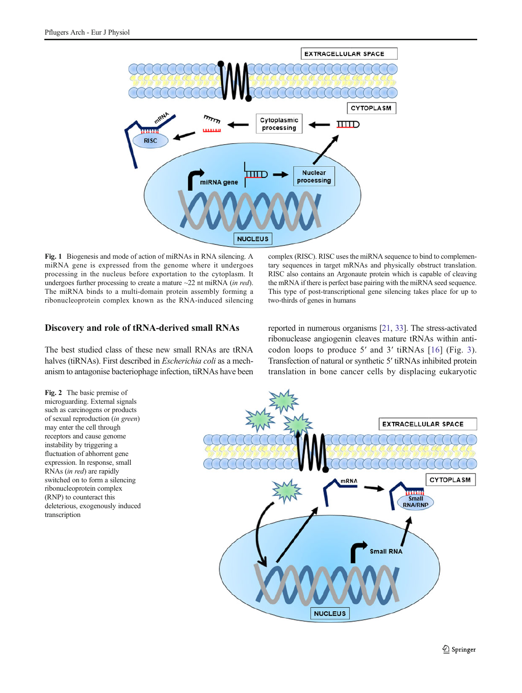<span id="page-2-0"></span>

Fig. 1 Biogenesis and mode of action of miRNAs in RNA silencing. A miRNA gene is expressed from the genome where it undergoes processing in the nucleus before exportation to the cytoplasm. It undergoes further processing to create a mature  $\sim$ 22 nt miRNA (in red). The miRNA binds to a multi-domain protein assembly forming a ribonucleoprotein complex known as the RNA-induced silencing

# Discovery and role of tRNA-derived small RNAs

The best studied class of these new small RNAs are tRNA halves (tiRNAs). First described in Escherichia coli as a mechanism to antagonise bacteriophage infection, tiRNAs have been

Fig. 2 The basic premise of microguarding. External signals such as carcinogens or products of sexual reproduction (in green) may enter the cell through receptors and cause genome instability by triggering a fluctuation of abhorrent gene expression. In response, small RNAs (in red) are rapidly switched on to form a silencing ribonucleoprotein complex (RNP) to counteract this deleterious, exogenously induced transcription

complex (RISC). RISC uses the miRNA sequence to bind to complementary sequences in target mRNAs and physically obstruct translation. RISC also contains an Argonaute protein which is capable of cleaving the mRNA if there is perfect base pairing with the miRNA seed sequence. This type of post-transcriptional gene silencing takes place for up to two-thirds of genes in humans

reported in numerous organisms [\[21,](#page-6-0) [33\]](#page-6-0). The stress-activated ribonuclease angiogenin cleaves mature tRNAs within anticodon loops to produce 5′ and 3′ tiRNAs [[16\]](#page-6-0) (Fig. [3](#page-3-0)). Transfection of natural or synthetic 5′ tiRNAs inhibited protein translation in bone cancer cells by displacing eukaryotic

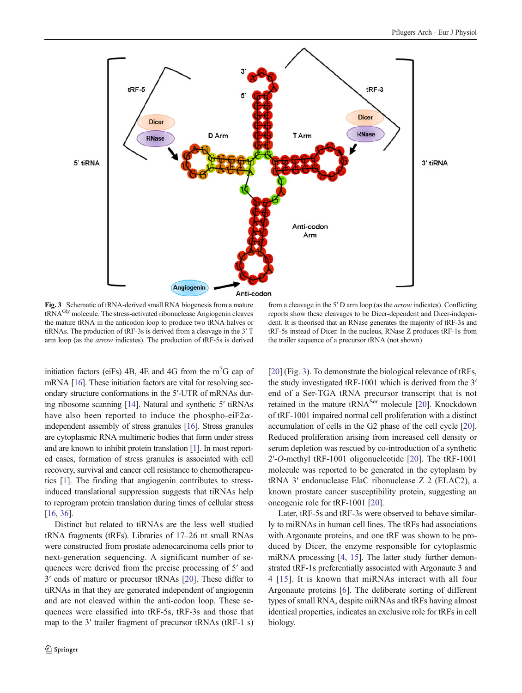<span id="page-3-0"></span>

Fig. 3 Schematic of tRNA-derived small RNA biogenesis from a mature tRNAGly molecule. The stress-activated ribonuclease Angiogenin cleaves the mature tRNA in the anticodon loop to produce two tRNA halves or tiRNAs. The production of tRF-3s is derived from a cleavage in the 3′ T arm loop (as the arrow indicates). The production of tRF-5s is derived

from a cleavage in the 5′ D arm loop (as the arrow indicates). Conflicting reports show these cleavages to be Dicer-dependent and Dicer-independent. It is theorised that an RNase generates the majority of tRF-3s and tRF-5s instead of Dicer. In the nucleus, RNase Z produces tRF-1s from the trailer sequence of a precursor tRNA (not shown)

initiation factors (eiFs)  $4B$ ,  $4E$  and  $4G$  from the m<sup>7</sup>G cap of mRNA [\[16\]](#page-6-0). These initiation factors are vital for resolving secondary structure conformations in the 5′-UTR of mRNAs during ribosome scanning [\[14\]](#page-6-0). Natural and synthetic 5′ tiRNAs have also been reported to induce the phospho-ei $F2\alpha$ independent assembly of stress granules [\[16\]](#page-6-0). Stress granules are cytoplasmic RNA multimeric bodies that form under stress and are known to inhibit protein translation [\[1\]](#page-5-0). In most reported cases, formation of stress granules is associated with cell recovery, survival and cancer cell resistance to chemotherapeutics [[1\]](#page-5-0). The finding that angiogenin contributes to stressinduced translational suppression suggests that tiRNAs help to reprogram protein translation during times of cellular stress [\[16,](#page-6-0) [36](#page-6-0)].

Distinct but related to tiRNAs are the less well studied tRNA fragments (tRFs). Libraries of 17–26 nt small RNAs were constructed from prostate adenocarcinoma cells prior to next-generation sequencing. A significant number of sequences were derived from the precise processing of 5′ and 3′ ends of mature or precursor tRNAs [\[20\]](#page-6-0). These differ to tiRNAs in that they are generated independent of angiogenin and are not cleaved within the anti-codon loop. These sequences were classified into tRF-5s, tRF-3s and those that map to the 3′ trailer fragment of precursor tRNAs (tRF-1 s) [\[20](#page-6-0)] (Fig. 3). To demonstrate the biological relevance of tRFs, the study investigated tRF-1001 which is derived from the 3′ end of a Ser-TGA tRNA precursor transcript that is not retained in the mature tRNA<sup>Ser</sup> molecule [\[20\]](#page-6-0). Knockdown of tRF-1001 impaired normal cell proliferation with a distinct accumulation of cells in the G2 phase of the cell cycle [[20\]](#page-6-0). Reduced proliferation arising from increased cell density or serum depletion was rescued by co-introduction of a synthetic 2′-O-methyl tRF-1001 oligonucleotide [[20\]](#page-6-0). The tRF-1001 molecule was reported to be generated in the cytoplasm by tRNA 3′ endonuclease ElaC ribonuclease Z 2 (ELAC2), a known prostate cancer susceptibility protein, suggesting an oncogenic role for tRF-1001 [\[20\]](#page-6-0).

Later, tRF-5s and tRF-3s were observed to behave similarly to miRNAs in human cell lines. The tRFs had associations with Argonaute proteins, and one tRF was shown to be produced by Dicer, the enzyme responsible for cytoplasmic miRNA processing [[4,](#page-6-0) [15](#page-6-0)]. The latter study further demonstrated tRF-1s preferentially associated with Argonaute 3 and 4 [[15](#page-6-0)]. It is known that miRNAs interact with all four Argonaute proteins [[6\]](#page-6-0). The deliberate sorting of different types of small RNA, despite miRNAs and tRFs having almost identical properties, indicates an exclusive role for tRFs in cell biology.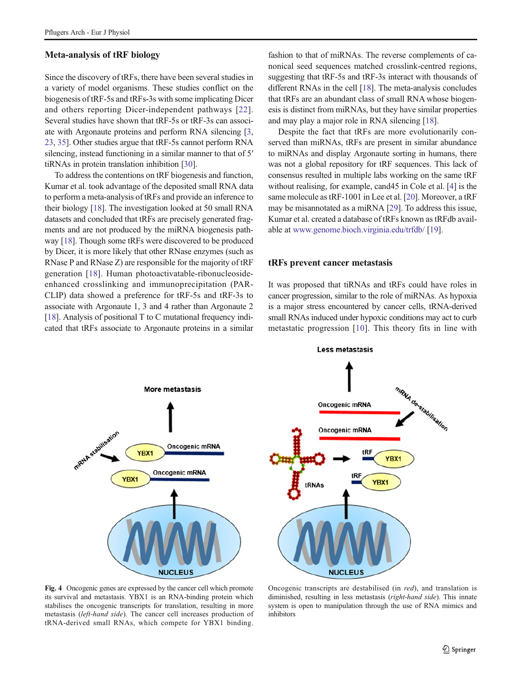## <span id="page-4-0"></span>Meta-analysis of tRF biology

Since the discovery of tRFs, there have been several studies in a variety of model organisms. These studies conflict on the biogenesis of tRF-5s and tRFs-3s with some implicating Dicer and others reporting Dicer-independent pathways [[22](#page-6-0)]. Several studies have shown that tRF-5s or tRF-3s can associate with Argonaute proteins and perform RNA silencing [[3,](#page-6-0) [23,](#page-6-0) [35](#page-6-0)]. Other studies argue that tRF-5s cannot perform RNA silencing, instead functioning in a similar manner to that of 5′ tiRNAs in protein translation inhibition [\[30\]](#page-6-0).

To address the contentions on tRF biogenesis and function, Kumar et al. took advantage of the deposited small RNA data to perform a meta-analysis of tRFs and provide an inference to their biology [\[18](#page-6-0)]. The investigation looked at 50 small RNA datasets and concluded that tRFs are precisely generated fragments and are not produced by the miRNA biogenesis pathway [[18](#page-6-0)]. Though some tRFs were discovered to be produced by Dicer, it is more likely that other RNase enzymes (such as RNase P and RNase Z) are responsible for the majority of tRF generation [\[18\]](#page-6-0). Human photoactivatable-ribonucleosideenhanced crosslinking and immunoprecipitation (PAR-CLIP) data showed a preference for tRF-5s and tRF-3s to associate with Argonaute 1, 3 and 4 rather than Argonaute 2 [\[18\]](#page-6-0). Analysis of positional T to C mutational frequency indicated that tRFs associate to Argonaute proteins in a similar

fashion to that of miRNAs. The reverse complements of canonical seed sequences matched crosslink-centred regions, suggesting that tRF-5s and tRF-3s interact with thousands of different RNAs in the cell [[18](#page-6-0)]. The meta-analysis concludes that tRFs are an abundant class of small RNA whose biogenesis is distinct from miRNAs, but they have similar properties and may play a major role in RNA silencing [[18](#page-6-0)].

Despite the fact that tRFs are more evolutionarily conserved than miRNAs, tRFs are present in similar abundance to miRNAs and display Argonaute sorting in humans, there was not a global repository for tRF sequences. This lack of consensus resulted in multiple labs working on the same tRF without realising, for example, cand45 in Cole et al. [\[4\]](#page-6-0) is the same molecule as tRF-1001 in Lee et al. [[20\]](#page-6-0). Moreover, a tRF may be misannotated as a miRNA [\[29](#page-6-0)]. To address this issue, Kumar et al. created a database of tRFs known as tRFdb available at [www.genome.bioch.virginia.edu/trfdb/](http://www.genome.bioch.virginia.edu/trfdb/) [\[19](#page-6-0)].

#### tRFs prevent cancer metastasis

It was proposed that tiRNAs and tRFs could have roles in cancer progression, similar to the role of miRNAs. As hypoxia is a major stress encountered by cancer cells, tRNA-derived small RNAs induced under hypoxic conditions may act to curb metastatic progression [[10](#page-6-0)]. This theory fits in line with





Fig. 4 Oncogenic genes are expressed by the cancer cell which promote its survival and metastasis. YBX1 is an RNA-binding protein which stabilises the oncogenic transcripts for translation, resulting in more metastasis (left-hand side). The cancer cell increases production of tRNA-derived small RNAs, which compete for YBX1 binding.

Oncogenic transcripts are destabilised (in red), and translation is diminished, resulting in less metastasis (right-hand side). This innate system is open to manipulation through the use of RNA mimics and inhibitors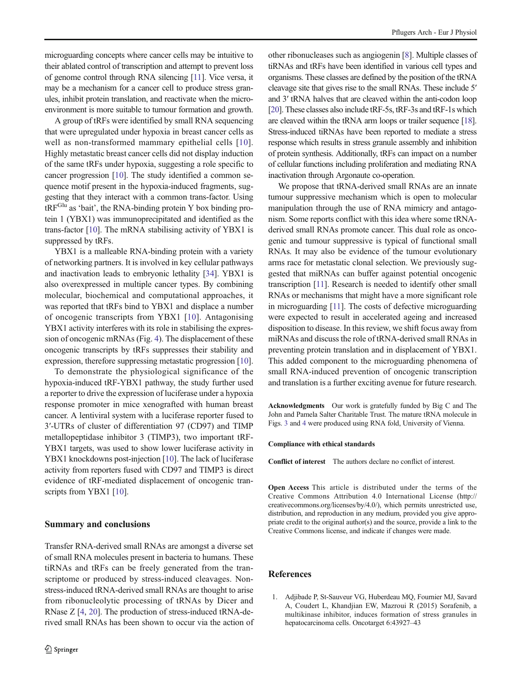<span id="page-5-0"></span>microguarding concepts where cancer cells may be intuitive to their ablated control of transcription and attempt to prevent loss of genome control through RNA silencing [[11](#page-6-0)]. Vice versa, it may be a mechanism for a cancer cell to produce stress granules, inhibit protein translation, and reactivate when the microenvironment is more suitable to tumour formation and growth.

A group of tRFs were identified by small RNA sequencing that were upregulated under hypoxia in breast cancer cells as well as non-transformed mammary epithelial cells [[10](#page-6-0)]. Highly metastatic breast cancer cells did not display induction of the same tRFs under hypoxia, suggesting a role specific to cancer progression [\[10\]](#page-6-0). The study identified a common sequence motif present in the hypoxia-induced fragments, suggesting that they interact with a common trans-factor. Using tRF<sup>Glu</sup> as 'bait', the RNA-binding protein Y box binding protein 1 (YBX1) was immunoprecipitated and identified as the trans-factor [\[10\]](#page-6-0). The mRNA stabilising activity of YBX1 is suppressed by tRFs.

YBX1 is a malleable RNA-binding protein with a variety of networking partners. It is involved in key cellular pathways and inactivation leads to embryonic lethality [[34\]](#page-6-0). YBX1 is also overexpressed in multiple cancer types. By combining molecular, biochemical and computational approaches, it was reported that tRFs bind to YBX1 and displace a number of oncogenic transcripts from YBX1 [[10](#page-6-0)]. Antagonising YBX1 activity interferes with its role in stabilising the expression of oncogenic mRNAs (Fig. [4](#page-4-0)). The displacement of these oncogenic transcripts by tRFs suppresses their stability and expression, therefore suppressing metastatic progression [[10\]](#page-6-0).

To demonstrate the physiological significance of the hypoxia-induced tRF-YBX1 pathway, the study further used a reporter to drive the expression of luciferase under a hypoxia response promoter in mice xenografted with human breast cancer. A lentiviral system with a luciferase reporter fused to 3′-UTRs of cluster of differentiation 97 (CD97) and TIMP metallopeptidase inhibitor 3 (TIMP3), two important tRF-YBX1 targets, was used to show lower luciferase activity in YBX1 knockdowns post-injection [[10](#page-6-0)]. The lack of luciferase activity from reporters fused with CD97 and TIMP3 is direct evidence of tRF-mediated displacement of oncogenic tran-scripts from YBX1 [[10](#page-6-0)].

#### Summary and conclusions

Transfer RNA-derived small RNAs are amongst a diverse set of small RNA molecules present in bacteria to humans. These tiRNAs and tRFs can be freely generated from the transcriptome or produced by stress-induced cleavages. Nonstress-induced tRNA-derived small RNAs are thought to arise from ribonucleolytic processing of tRNAs by Dicer and RNase Z [\[4](#page-6-0), [20](#page-6-0)]. The production of stress-induced tRNA-derived small RNAs has been shown to occur via the action of other ribonucleases such as angiogenin [\[8\]](#page-6-0). Multiple classes of tiRNAs and tRFs have been identified in various cell types and organisms. These classes are defined by the position of the tRNA cleavage site that gives rise to the small RNAs. These include 5′ and 3′ tRNA halves that are cleaved within the anti-codon loop [\[20](#page-6-0)]. These classes also include tRF-5s, tRF-3s and tRF-1s which are cleaved within the tRNA arm loops or trailer sequence [\[18\]](#page-6-0). Stress-induced tiRNAs have been reported to mediate a stress response which results in stress granule assembly and inhibition of protein synthesis. Additionally, tRFs can impact on a number of cellular functions including proliferation and mediating RNA inactivation through Argonaute co-operation.

We propose that tRNA-derived small RNAs are an innate tumour suppressive mechanism which is open to molecular manipulation through the use of RNA mimicry and antagonism. Some reports conflict with this idea where some tRNAderived small RNAs promote cancer. This dual role as oncogenic and tumour suppressive is typical of functional small RNAs. It may also be evidence of the tumour evolutionary arms race for metastatic clonal selection. We previously suggested that miRNAs can buffer against potential oncogenic transcription [[11](#page-6-0)]. Research is needed to identify other small RNAs or mechanisms that might have a more significant role in microguarding [[11](#page-6-0)]. The costs of defective microguarding were expected to result in accelerated ageing and increased disposition to disease. In this review, we shift focus away from miRNAs and discuss the role of tRNA-derived small RNAs in preventing protein translation and in displacement of YBX1. This added component to the microguarding phenomena of small RNA-induced prevention of oncogenic transcription and translation is a further exciting avenue for future research.

Acknowledgments Our work is gratefully funded by Big C and The John and Pamela Salter Charitable Trust. The mature tRNA molecule in Figs. [3](#page-3-0) and [4](#page-4-0) were produced using RNA fold, University of Vienna.

#### Compliance with ethical standards

Conflict of interest The authors declare no conflict of interest.

Open Access This article is distributed under the terms of the Creative Commons Attribution 4.0 International License (http:// creativecommons.org/licenses/by/4.0/), which permits unrestricted use, distribution, and reproduction in any medium, provided you give appropriate credit to the original author(s) and the source, provide a link to the Creative Commons license, and indicate if changes were made.

#### References

1. Adjibade P, St-Sauveur VG, Huberdeau MQ, Fournier MJ, Savard A, Coudert L, Khandjian EW, Mazroui R (2015) Sorafenib, a multikinase inhibitor, induces formation of stress granules in hepatocarcinoma cells. Oncotarget 6:43927–43